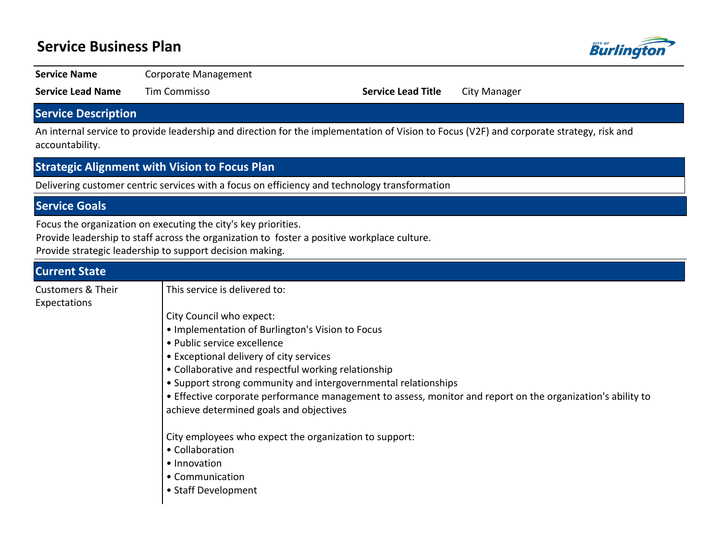## **Service Business Plan**



**Service Name** Corporate Management

**Service Lead Name** Tim Commisso **Service Lead Title** City Manager

### **Service Description**

An internal service to provide leadership and direction for the implementation of Vision to Focus (V2F) and corporate strategy, risk and accountability.

### **Strategic Alignment with Vision to Focus Plan**

Delivering customer centric services with a focus on efficiency and technology transformation

### **Service Goals**

Focus the organization on executing the city's key priorities.

Provide leadership to staff across the organization to foster a positive workplace culture.

Provide strategic leadership to support decision making.

| <b>Current State</b>                         |                                                                                                                                                        |
|----------------------------------------------|--------------------------------------------------------------------------------------------------------------------------------------------------------|
| <b>Customers &amp; Their</b><br>Expectations | This service is delivered to:                                                                                                                          |
|                                              | City Council who expect:                                                                                                                               |
|                                              | . Implementation of Burlington's Vision to Focus                                                                                                       |
|                                              | • Public service excellence                                                                                                                            |
|                                              | • Exceptional delivery of city services                                                                                                                |
|                                              | • Collaborative and respectful working relationship                                                                                                    |
|                                              | • Support strong community and intergovernmental relationships                                                                                         |
|                                              | • Effective corporate performance management to assess, monitor and report on the organization's ability to<br>achieve determined goals and objectives |
|                                              | City employees who expect the organization to support:                                                                                                 |
|                                              | • Collaboration                                                                                                                                        |
|                                              | • Innovation                                                                                                                                           |
|                                              | • Communication                                                                                                                                        |
|                                              | • Staff Development                                                                                                                                    |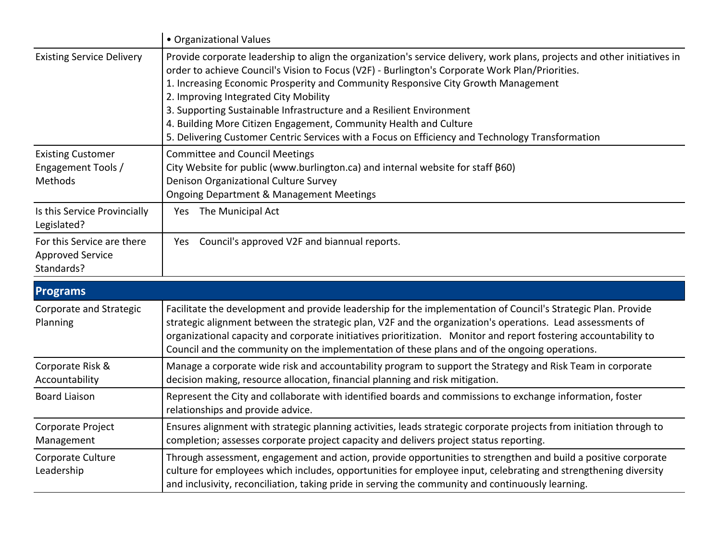|                                                                     | • Organizational Values                                                                                                                                                                                                                                                                                                                                                                                                                                                                                                                                                                                    |  |  |  |  |  |
|---------------------------------------------------------------------|------------------------------------------------------------------------------------------------------------------------------------------------------------------------------------------------------------------------------------------------------------------------------------------------------------------------------------------------------------------------------------------------------------------------------------------------------------------------------------------------------------------------------------------------------------------------------------------------------------|--|--|--|--|--|
| <b>Existing Service Delivery</b>                                    | Provide corporate leadership to align the organization's service delivery, work plans, projects and other initiatives in<br>order to achieve Council's Vision to Focus (V2F) - Burlington's Corporate Work Plan/Priorities.<br>1. Increasing Economic Prosperity and Community Responsive City Growth Management<br>2. Improving Integrated City Mobility<br>3. Supporting Sustainable Infrastructure and a Resilient Environment<br>4. Building More Citizen Engagement, Community Health and Culture<br>5. Delivering Customer Centric Services with a Focus on Efficiency and Technology Transformation |  |  |  |  |  |
| <b>Existing Customer</b><br>Engagement Tools /<br>Methods           | <b>Committee and Council Meetings</b><br>City Website for public (www.burlington.ca) and internal website for staff (860)<br>Denison Organizational Culture Survey<br><b>Ongoing Department &amp; Management Meetings</b>                                                                                                                                                                                                                                                                                                                                                                                  |  |  |  |  |  |
| Is this Service Provincially<br>Legislated?                         | The Municipal Act<br>Yes                                                                                                                                                                                                                                                                                                                                                                                                                                                                                                                                                                                   |  |  |  |  |  |
| For this Service are there<br><b>Approved Service</b><br>Standards? | Council's approved V2F and biannual reports.<br>Yes                                                                                                                                                                                                                                                                                                                                                                                                                                                                                                                                                        |  |  |  |  |  |

| <b>Programs</b>                     |                                                                                                                                                                                                                                                                                                                                                                                                                                                  |  |  |  |  |
|-------------------------------------|--------------------------------------------------------------------------------------------------------------------------------------------------------------------------------------------------------------------------------------------------------------------------------------------------------------------------------------------------------------------------------------------------------------------------------------------------|--|--|--|--|
| Corporate and Strategic<br>Planning | Facilitate the development and provide leadership for the implementation of Council's Strategic Plan. Provide<br>strategic alignment between the strategic plan, V2F and the organization's operations. Lead assessments of<br>organizational capacity and corporate initiatives prioritization. Monitor and report fostering accountability to<br>Council and the community on the implementation of these plans and of the ongoing operations. |  |  |  |  |
| Corporate Risk &<br>Accountability  | Manage a corporate wide risk and accountability program to support the Strategy and Risk Team in corporate<br>decision making, resource allocation, financial planning and risk mitigation.                                                                                                                                                                                                                                                      |  |  |  |  |
| <b>Board Liaison</b>                | Represent the City and collaborate with identified boards and commissions to exchange information, foster<br>relationships and provide advice.                                                                                                                                                                                                                                                                                                   |  |  |  |  |
| Corporate Project<br>Management     | Ensures alignment with strategic planning activities, leads strategic corporate projects from initiation through to<br>completion; assesses corporate project capacity and delivers project status reporting.                                                                                                                                                                                                                                    |  |  |  |  |
| Corporate Culture<br>Leadership     | Through assessment, engagement and action, provide opportunities to strengthen and build a positive corporate<br>culture for employees which includes, opportunities for employee input, celebrating and strengthening diversity<br>and inclusivity, reconciliation, taking pride in serving the community and continuously learning.                                                                                                            |  |  |  |  |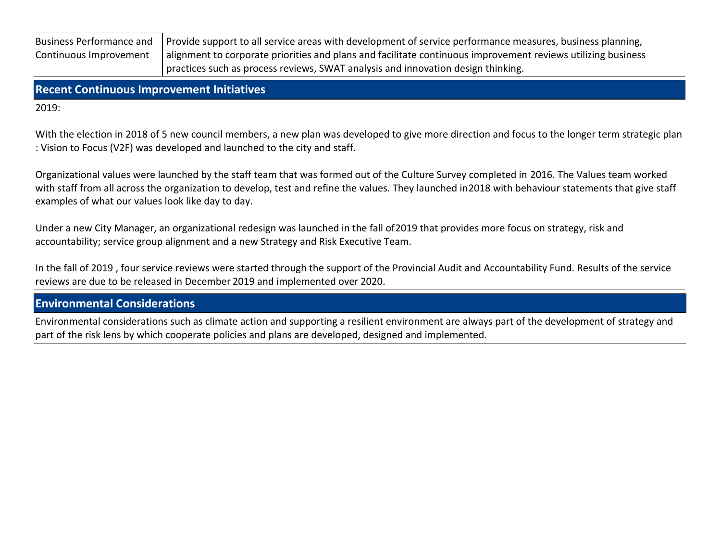Business Performance and Continuous Improvement

Provide support to all service areas with development of service performance measures, business planning, alignment to corporate priorities and plans and facilitate continuous improvement reviews utilizing business practices such as process reviews, SWAT analysis and innovation design thinking.

**Recent Continuous Improvement Initiatives**

2019:

With the election in 2018 of 5 new council members, a new plan was developed to give more direction and focus to the longer term strategic plan : Vision to Focus (V2F) was developed and launched to the city and staff.

Organizational values were launched by the staff team that was formed out of the Culture Survey completed in 2016. The Values team worked with staff from all across the organization to develop, test and refine the values. They launched in 2018 with behaviour statements that give staff examples of what our values look like day to day.

Under a new City Manager, an organizational redesign was launched in the fall of 2019 that provides more focus on strategy, risk and accountability; service group alignment and a new Strategy and Risk Executive Team.

In the fall of 2019 , four service reviews were started through the support of the Provincial Audit and Accountability Fund. Results of the service reviews are due to be released in December 2019 and implemented over 2020.

**Environmental Considerations**

Environmental considerations such as climate action and supporting a resilient environment are always part of the development of strategy and part of the risk lens by which cooperate policies and plans are developed, designed and implemented.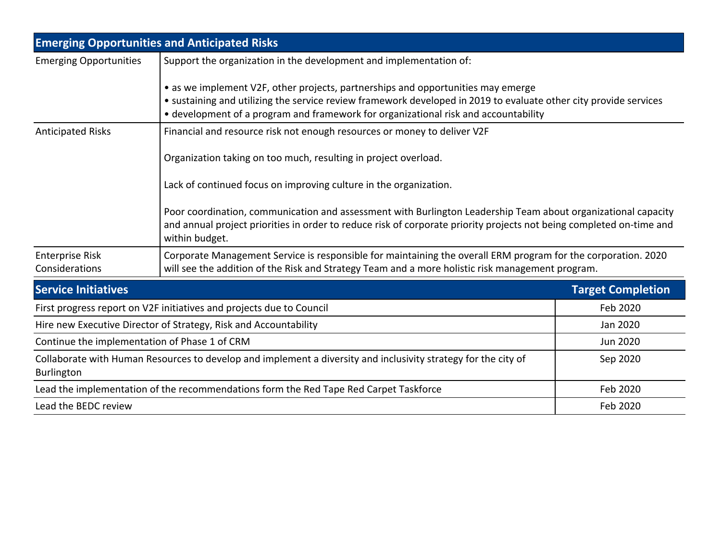|                                                                                                                                                                                                                                                                                              | <b>Emerging Opportunities and Anticipated Risks</b>                                                                                                                                                                                                     |                          |  |  |  |  |
|----------------------------------------------------------------------------------------------------------------------------------------------------------------------------------------------------------------------------------------------------------------------------------------------|---------------------------------------------------------------------------------------------------------------------------------------------------------------------------------------------------------------------------------------------------------|--------------------------|--|--|--|--|
| <b>Emerging Opportunities</b>                                                                                                                                                                                                                                                                | Support the organization in the development and implementation of:                                                                                                                                                                                      |                          |  |  |  |  |
| • as we implement V2F, other projects, partnerships and opportunities may emerge<br>• sustaining and utilizing the service review framework developed in 2019 to evaluate other city provide services<br>• development of a program and framework for organizational risk and accountability |                                                                                                                                                                                                                                                         |                          |  |  |  |  |
| <b>Anticipated Risks</b>                                                                                                                                                                                                                                                                     | Financial and resource risk not enough resources or money to deliver V2F                                                                                                                                                                                |                          |  |  |  |  |
|                                                                                                                                                                                                                                                                                              | Organization taking on too much, resulting in project overload.                                                                                                                                                                                         |                          |  |  |  |  |
|                                                                                                                                                                                                                                                                                              | Lack of continued focus on improving culture in the organization.                                                                                                                                                                                       |                          |  |  |  |  |
|                                                                                                                                                                                                                                                                                              | Poor coordination, communication and assessment with Burlington Leadership Team about organizational capacity<br>and annual project priorities in order to reduce risk of corporate priority projects not being completed on-time and<br>within budget. |                          |  |  |  |  |
| <b>Enterprise Risk</b><br>Considerations                                                                                                                                                                                                                                                     | Corporate Management Service is responsible for maintaining the overall ERM program for the corporation. 2020<br>will see the addition of the Risk and Strategy Team and a more holistic risk management program.                                       |                          |  |  |  |  |
| <b>Service Initiatives</b>                                                                                                                                                                                                                                                                   |                                                                                                                                                                                                                                                         | <b>Target Completion</b> |  |  |  |  |
| First progress report on V2F initiatives and projects due to Council                                                                                                                                                                                                                         |                                                                                                                                                                                                                                                         | Feb 2020                 |  |  |  |  |
| Hire new Executive Director of Strategy, Risk and Accountability                                                                                                                                                                                                                             |                                                                                                                                                                                                                                                         | Jan 2020                 |  |  |  |  |
| Continue the implementation of Phase 1 of CRM                                                                                                                                                                                                                                                | Jun 2020                                                                                                                                                                                                                                                |                          |  |  |  |  |
| Collaborate with Human Resources to develop and implement a diversity and inclusivity strategy for the city of<br>Burlington                                                                                                                                                                 |                                                                                                                                                                                                                                                         | Sep 2020                 |  |  |  |  |
| Lead the implementation of the recommendations form the Red Tape Red Carpet Taskforce                                                                                                                                                                                                        | Feb 2020                                                                                                                                                                                                                                                |                          |  |  |  |  |
| Lead the BEDC review                                                                                                                                                                                                                                                                         | Feb 2020                                                                                                                                                                                                                                                |                          |  |  |  |  |